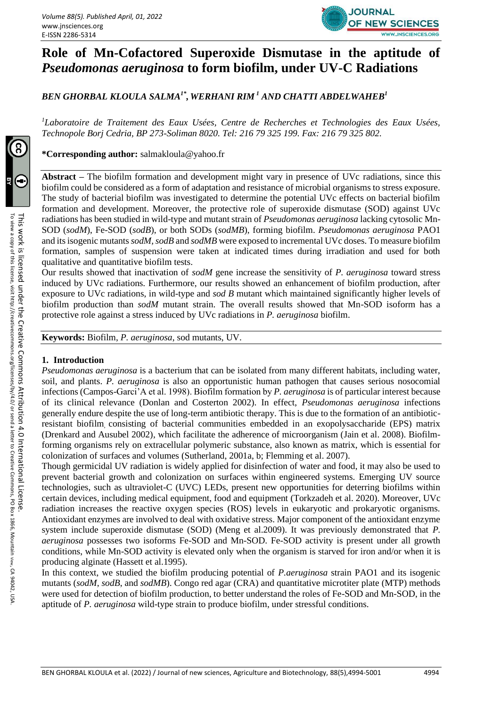

# **Role of Mn-Cofactored Superoxide Dismutase in the aptitude of**  *Pseudomonas aeruginosa* **to form biofilm, under UV-C Radiations**

*BEN GHORBAL KLOULA SALMA1\* , WERHANI RIM <sup>1</sup> AND CHATTI ABDELWAHEB<sup>1</sup>*

*<sup>1</sup>Laboratoire de Traitement des Eaux Usées, Centre de Recherches et Technologies des Eaux Usées, Technopole Borj Cedria, BP 273-Soliman 8020. Tel: 216 79 325 199. Fax: 216 79 325 802.*

**\*Corresponding author:** [salmakloula@yahoo.fr](mailto:salmakloula@yahoo.fr)

**Abstract –** The biofilm formation and development might vary in presence of UVc radiations, since this biofilm could be considered as a form of adaptation and resistance of microbial organisms to stress exposure. The study of bacterial biofilm was investigated to determine the potential UVc effects on bacterial biofilm formation and development. Moreover, the protective role of superoxide dismutase (SOD) against UVc radiations has been studied in wild-type and mutant strain of *Pseudomonas aeruginosa* lacking cytosolic Mn-SOD (*sodM*), Fe-SOD (*sodB*), or both SODs (*sodMB*), forming biofilm. *Pseudomonas aeruginosa* PAO1 and its isogenic mutants *sodM, sodB* and *sodMB* were exposed to incremental UVc doses. To measure biofilm formation, samples of suspension were taken at indicated times during irradiation and used for both qualitative and quantitative biofilm tests.

Our results showed that inactivation of *sodM* gene increase the sensitivity of *P. aeruginosa* toward stress induced by UVc radiations. Furthermore, our results showed an enhancement of biofilm production, after exposure to UVc radiations, in wild-type and *sod B* mutant which maintained significantly higher levels of biofilm production than *sodM* mutant strain. The overall results showed that Mn-SOD isoform has a protective role against a stress induced by UVc radiations in *P. aeruginosa* biofilm.

**Keywords:** Biofilm, *P. aeruginosa*, sod mutants, UV.

#### **1. Introduction**

*Pseudomonas aeruginosa* is a bacterium that can be isolated from many different habitats, including water, soil, and plants. *P. aeruginosa* is also an opportunistic human pathogen that causes serious nosocomial infections (Campos-Garci'A et al. 1998). Biofilm formation by *P. aeruginosa* is of particular interest because of its clinical relevance (Donlan and Costerton 2002). In effect, *Pseudomonas aeruginosa* infections generally endure despite the use of long-term antibiotic therapy. This is due to the formation of an antibioticresistant biofilm, consisting of bacterial communities embedded in an exopolysaccharide (EPS) matrix (Drenkard and Ausubel 2002), which facilitate the adherence of microorganism (Jain et al. 2008). Biofilmforming organisms rely on extracellular polymeric substance, also known as matrix, which is essential for colonization of surfaces and volumes (Sutherland, 2001a, b; Flemming et al. 2007).

Though germicidal UV radiation is widely applied for disinfection of water and food, it may also be used to prevent bacterial growth and colonization on surfaces within engineered systems. Emerging UV source technologies, such as ultraviolet-C (UVC) LEDs, present new opportunities for deterring biofilms within certain devices, including medical equipment, food and equipment (Torkzadeh et al. 2020). Moreover, UVc radiation increases the reactive oxygen species (ROS) levels in eukaryotic and prokaryotic organisms. Antioxidant enzymes are involved to deal with oxidative stress. Major component of the antioxidant enzyme system include superoxide dismutase (SOD) (Meng et al.2009). It was previously demonstrated that *P. aeruginosa* possesses two isoforms Fe-SOD and Mn-SOD. Fe-SOD activity is present under all growth conditions, while Mn-SOD activity is elevated only when the organism is starved for iron and/or when it is producing alginate (Hassett et al.1995).

In this context, we studied the biofilm producing potential of *P.aeruginosa* strain PAO1 and its isogenic mutants (*sodM*, *sodB*, and *sodMB*). Congo red agar (CRA) and quantitative microtiter plate (MTP) methods were used for detection of biofilm production, to better understand the roles of Fe-SOD and Mn-SOD, in the aptitude of *P. aeruginosa* wild-type strain to produce biofilm, under stressful conditions.

x 1866, Mountain

, CA 94042, USA.

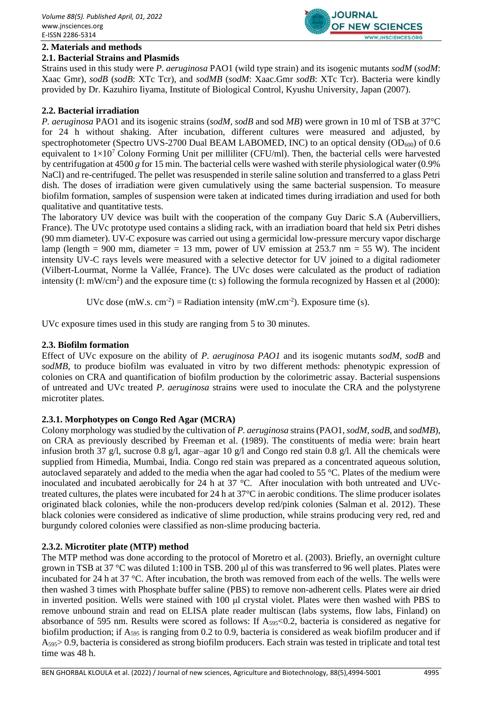

# **2. Materials and methods**

# **2.1. Bacterial Strains and Plasmids**

Strains used in this study were *P. aeruginosa* PAO1 (wild type strain) and its isogenic mutants *sodM* (*sodM*: Xaac Gmr), *sodB* (*sodB*: XTc Tcr), and *sodMB* (*sodM*: Xaac.Gmr *sodB*: XTc Tcr). Bacteria were kindly provided by Dr. Kazuhiro Iiyama, Institute of Biological Control, Kyushu University, Japan (2007).

# **2.2. Bacterial irradiation**

*P. aeruginosa* PAO1 and its isogenic strains (*sodM, sodB* and sod *MB*) were grown in 10 ml of TSB at 37°C for 24 h without shaking. After incubation, different cultures were measured and adjusted, by spectrophotometer (Spectro UVS-2700 Dual BEAM LABOMED, INC) to an optical density  $OD_{600}$  of 0.6 equivalent to  $1\times10^7$  Colony Forming Unit per milliliter (CFU/ml). Then, the bacterial cells were harvested by centrifugation at 4500 *g* for 15 min. The bacterial cells were washed with sterile physiological water (0.9% NaCl) and re-centrifuged. The pellet was resuspended in sterile saline solution and transferred to a glass Petri dish. The doses of irradiation were given cumulatively using the same bacterial suspension. To measure biofilm formation, samples of suspension were taken at indicated times during irradiation and used for both qualitative and quantitative tests.

The laboratory UV device was built with the cooperation of the company Guy Daric S.A (Aubervilliers, France). The UVc prototype used contains a sliding rack, with an irradiation board that held six Petri dishes (90 mm diameter). UV-C exposure was carried out using a germicidal low-pressure mercury vapor discharge lamp (length = 900 mm, diameter = 13 mm, power of UV emission at  $253.7$  nm = 55 W). The incident intensity UV-C rays levels were measured with a selective detector for UV joined to a digital radiometer (Vilbert-Lourmat, Norme la Vallée, France). The UVc doses were calculated as the product of radiation intensity (I: mW/cm<sup>2</sup>) and the exposure time (t: s) following the formula recognized by Hassen et al (2000):

UVc dose  $(mW.s. cm<sup>-2</sup>)$  = Radiation intensity  $(mW.cm<sup>-2</sup>)$ . Exposure time (s).

UVc exposure times used in this study are ranging from 5 to 30 minutes.

# **2.3. Biofilm formation**

Effect of UVc exposure on the ability of *P. aeruginosa PAO1* and its isogenic mutants *sodM*, *sodB* and *sodMB*, to produce biofilm was evaluated in vitro by two different methods: phenotypic expression of colonies on CRA and quantification of biofilm production by the colorimetric assay. Bacterial suspensions of untreated and UVc treated *P. aeruginosa* strains were used to inoculate the CRA and the polystyrene microtiter plates.

# **2.3.1. Morphotypes on Congo Red Agar (MCRA)**

Colony morphology was studied by the cultivation of *P. aeruginosa* strains (PAO1, *sodM, sodB*, and *sodMB*), on CRA as previously described by Freeman et al. (1989). The constituents of media were: brain heart infusion broth 37 g/l, sucrose 0.8 g/l, agar–agar 10 g/l and Congo red stain 0.8 g/l. All the chemicals were supplied from Himedia, Mumbai, India. Congo red stain was prepared as a concentrated aqueous solution, autoclaved separately and added to the media when the agar had cooled to 55 °C. Plates of the medium were inoculated and incubated aerobically for 24 h at 37 °C. After inoculation with both untreated and UVctreated cultures, the plates were incubated for 24 h at 37°C in aerobic conditions. The slime producer isolates originated black colonies, while the non-producers develop red/pink colonies (Salman et al. 2012). These black colonies were considered as indicative of slime production, while strains producing very red, red and burgundy colored colonies were classified as non-slime producing bacteria.

# **2.3.2. Microtiter plate (MTP) method**

The MTP method was done according to the protocol of Moretro et al. (2003). Briefly, an overnight culture grown in TSB at 37 °C was diluted 1:100 in TSB. 200 μl of this was transferred to 96 well plates. Plates were incubated for 24 h at 37 °C. After incubation, the broth was removed from each of the wells. The wells were then washed 3 times with Phosphate buffer saline (PBS) to remove non-adherent cells. Plates were air dried in inverted position. Wells were stained with 100 μl crystal violet. Plates were then washed with PBS to remove unbound strain and read on ELISA plate reader multiscan (labs systems, flow labs, Finland) on absorbance of 595 nm. Results were scored as follows: If  $A_{595}$ <0.2, bacteria is considered as negative for biofilm production; if  $A_{595}$  is ranging from 0.2 to 0.9, bacteria is considered as weak biofilm producer and if A595> 0.9, bacteria is considered as strong biofilm producers. Each strain was tested in triplicate and total test time was 48 h.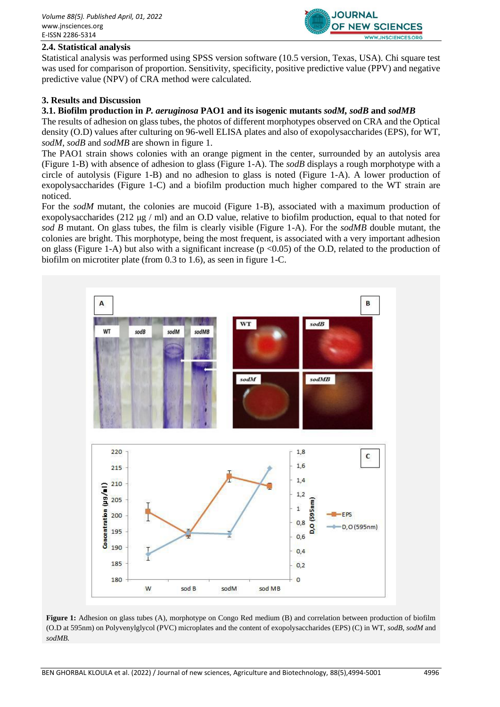

# **2.4. Statistical analysis**

Statistical analysis was performed using SPSS version software (10.5 version, Texas, USA). Chi square test was used for comparison of proportion. Sensitivity, specificity, positive predictive value (PPV) and negative predictive value (NPV) of CRA method were calculated.

#### **3. Results and Discussion**

#### **3.1. Biofilm production in** *P. aeruginosa* **PAO1 and its isogenic mutants** *sodM, sodB* **and** *sodMB*

The results of adhesion on glass tubes, the photos of different morphotypes observed on CRA and the Optical density (O.D) values after culturing on 96-well ELISA plates and also of exopolysaccharides (EPS), for WT, *sodM*, *sodB* and *sodMB* are shown in figure 1.

The PAO1 strain shows colonies with an orange pigment in the center, surrounded by an autolysis area (Figure 1-B) with absence of adhesion to glass (Figure 1-A). The *sodB* displays a rough morphotype with a circle of autolysis (Figure 1-B) and no adhesion to glass is noted (Figure 1-A). A lower production of exopolysaccharides (Figure 1-C) and a biofilm production much higher compared to the WT strain are noticed.

For the *sodM* mutant, the colonies are mucoid (Figure 1-B), associated with a maximum production of exopolysaccharides (212  $\mu$ g / ml) and an O.D value, relative to biofilm production, equal to that noted for *sod B* mutant. On glass tubes, the film is clearly visible (Figure 1-A). For the *sodMB* double mutant, the colonies are bright. This morphotype, being the most frequent, is associated with a very important adhesion on glass (Figure 1-A) but also with a significant increase ( $p \le 0.05$ ) of the O.D, related to the production of biofilm on microtiter plate (from 0.3 to 1.6), as seen in figure 1-C.



**Figure 1:** Adhesion on glass tubes (A), morphotype on Congo Red medium (B) and correlation between production of biofilm (O.D at 595nm) on Polyvenylglycol (PVC) microplates and the content of exopolysaccharides (EPS) (C) in WT, *sodB, sodM* and *sodMB.*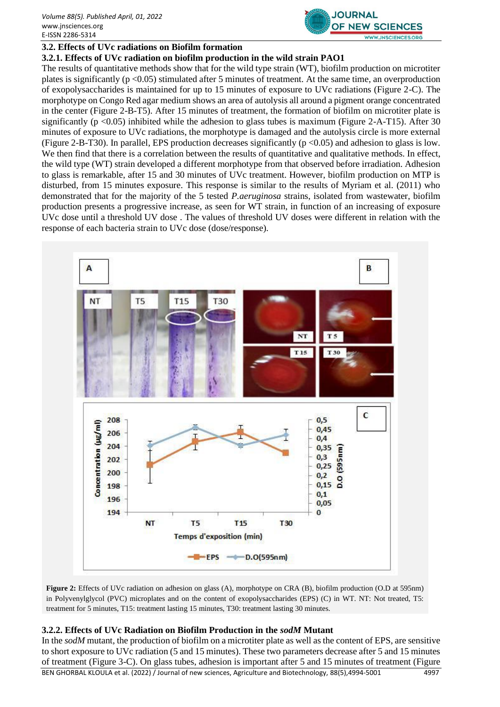

# **3.2. Effects of UVc radiations on Biofilm formation**

#### **3.2.1. Effects of UVc radiation on biofilm production in the wild strain PAO1**

The results of quantitative methods show that for the wild type strain (WT), biofilm production on microtiter plates is significantly ( $p \le 0.05$ ) stimulated after 5 minutes of treatment. At the same time, an overproduction of exopolysaccharides is maintained for up to 15 minutes of exposure to UVc radiations (Figure 2-C). The morphotype on Congo Red agar medium shows an area of autolysis all around a pigment orange concentrated in the center (Figure 2-B-T5). After 15 minutes of treatment, the formation of biofilm on microtiter plate is significantly (p <0.05) inhibited while the adhesion to glass tubes is maximum (Figure 2-A-T15). After 30 minutes of exposure to UVc radiations, the morphotype is damaged and the autolysis circle is more external (Figure 2-B-T30). In parallel, EPS production decreases significantly ( $p \le 0.05$ ) and adhesion to glass is low. We then find that there is a correlation between the results of quantitative and qualitative methods. In effect, the wild type (WT) strain developed a different morphotype from that observed before irradiation. Adhesion to glass is remarkable, after 15 and 30 minutes of UVc treatment. However, biofilm production on MTP is disturbed, from 15 minutes exposure. This response is similar to the results of Myriam et al. (2011) who demonstrated that for the majority of the 5 tested *P.aeruginosa* strains, isolated from wastewater, biofilm production presents a progressive increase, as seen for WT strain, in function of an increasing of exposure UVc dose until a threshold UV dose . The values of threshold UV doses were different in relation with the response of each bacteria strain to UVc dose (dose/response).



**Figure 2:** Effects of UVc radiation on adhesion on glass (A), morphotype on CRA (B), biofilm production (O.D at 595nm) in Polyvenylglycol (PVC) microplates and on the content of exopolysaccharides (EPS) (C) in WT. NT: Not treated, T5: treatment for 5 minutes, T15: treatment lasting 15 minutes, T30: treatment lasting 30 minutes.

#### **3.2.2. Effects of UVc Radiation on Biofilm Production in the** *sodM* **Mutant**

In the *sodM* mutant, the production of biofilm on a microtiter plate as well as the content of EPS, are sensitive to short exposure to UVc radiation (5 and 15 minutes). These two parameters decrease after 5 and 15 minutes of treatment (Figure 3-C). On glass tubes, adhesion is important after 5 and 15 minutes of treatment (Figure

BEN GHORBAL KLOULA et al. (2022) / Journal of new sciences, Agriculture and Biotechnology, 88(5),4994-5001 4997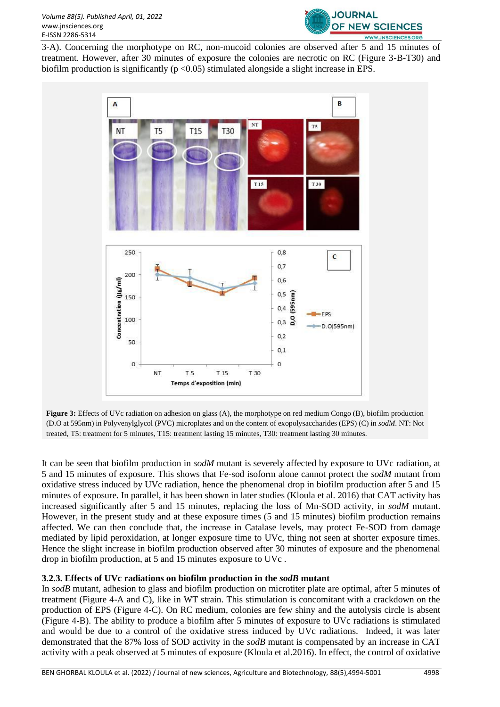

3-A). Concerning the morphotype on RC, non-mucoid colonies are observed after 5 and 15 minutes of treatment. However, after 30 minutes of exposure the colonies are necrotic on RC (Figure 3**-**B**-**T30) and biofilm production is significantly ( $p < 0.05$ ) stimulated alongside a slight increase in EPS.



**Figure 3:** Effects of UVc radiation on adhesion on glass (A), the morphotype on red medium Congo (B), biofilm production (D.O at 595nm) in Polyvenylglycol (PVC) microplates and on the content of exopolysaccharides (EPS) (C) in *sodM*. NT: Not treated, T5: treatment for 5 minutes, T15: treatment lasting 15 minutes, T30: treatment lasting 30 minutes.

It can be seen that biofilm production in *sodM* mutant is severely affected by exposure to UVc radiation, at 5 and 15 minutes of exposure. This shows that Fe-sod isoform alone cannot protect the *sodM* mutant from oxidative stress induced by UVc radiation, hence the phenomenal drop in biofilm production after 5 and 15 minutes of exposure. In parallel, it has been shown in later studies (Kloula et al. 2016) that CAT activity has increased significantly after 5 and 15 minutes, replacing the loss of Mn-SOD activity, in *sodM* mutant. However, in the present study and at these exposure times (5 and 15 minutes) biofilm production remains affected. We can then conclude that, the increase in Catalase levels, may protect Fe-SOD from damage mediated by lipid peroxidation, at longer exposure time to UVc, thing not seen at shorter exposure times. Hence the slight increase in biofilm production observed after 30 minutes of exposure and the phenomenal drop in biofilm production, at 5 and 15 minutes exposure to UVc .

# **3.2.3. Effects of UVc radiations on biofilm production in the** *sodB* **mutant**

In *sodB* mutant, adhesion to glass and biofilm production on microtiter plate are optimal, after 5 minutes of treatment (Figure 4-A and C), like in WT strain. This stimulation is concomitant with a crackdown on the production of EPS (Figure 4-C). On RC medium, colonies are few shiny and the autolysis circle is absent (Figure 4-B). The ability to produce a biofilm after 5 minutes of exposure to UVc radiations is stimulated and would be due to a control of the oxidative stress induced by UVc radiations. Indeed, it was later demonstrated that the 87% loss of SOD activity in the *sodB* mutant is compensated by an increase in CAT activity with a peak observed at 5 minutes of exposure (Kloula et al.2016). In effect, the control of oxidative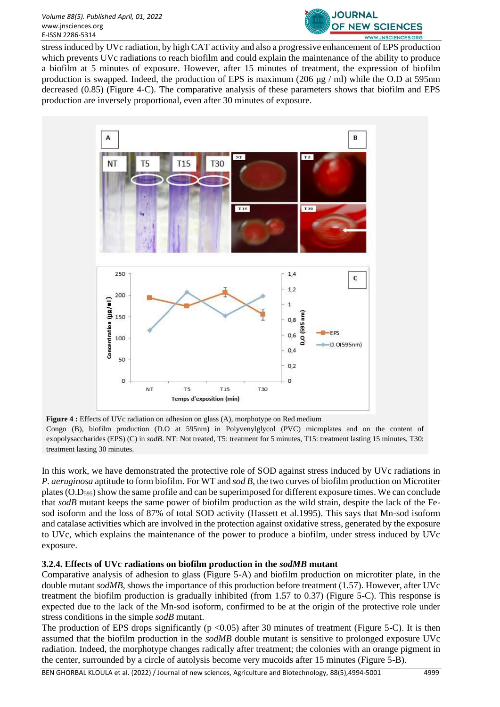

stress induced by UVc radiation, by high CAT activity and also a progressive enhancement of EPS production which prevents UVc radiations to reach biofilm and could explain the maintenance of the ability to produce a biofilm at 5 minutes of exposure. However, after 15 minutes of treatment, the expression of biofilm production is swapped. Indeed, the production of EPS is maximum (206 μg / ml) while the O.D at 595nm decreased (0.85) (Figure 4-C). The comparative analysis of these parameters shows that biofilm and EPS production are inversely proportional, even after 30 minutes of exposure.



**Figure 4 :** Effects of UVc radiation on adhesion on glass (A), morphotype on Red medium Congo (B), biofilm production (D.O at 595nm) in Polyvenylglycol (PVC) microplates and on the content of exopolysaccharides (EPS) (C) in *sodB*. NT: Not treated, T5: treatment for 5 minutes, T15: treatment lasting 15 minutes, T30: treatment lasting 30 minutes.

In this work, we have demonstrated the protective role of SOD against stress induced by UVc radiations in *P. aeruginosa* aptitude to form biofilm. For WT and *sod B*, the two curves of biofilm production on Microtiter plates (O.D595) show the same profile and can be superimposed for different exposure times. We can conclude that *sodB* mutant keeps the same power of biofilm production as the wild strain, despite the lack of the Fesod isoform and the loss of 87% of total SOD activity (Hassett et al.1995). This says that Mn-sod isoform and catalase activities which are involved in the protection against oxidative stress, generated by the exposure to UVc, which explains the maintenance of the power to produce a biofilm, under stress induced by UVc exposure.

# **3.2.4. Effects of UVc radiations on biofilm production in the** *sodMB* **mutant**

Comparative analysis of adhesion to glass (Figure 5-A) and biofilm production on microtiter plate, in the double mutant *sodMB*, shows the importance of this production before treatment (1.57). However, after UVc treatment the biofilm production is gradually inhibited (from 1.57 to 0.37) (Figure 5-C). This response is expected due to the lack of the Mn-sod isoform, confirmed to be at the origin of the protective role under stress conditions in the simple *sodB* mutant.

The production of EPS drops significantly ( $p < 0.05$ ) after 30 minutes of treatment (Figure 5-C). It is then assumed that the biofilm production in the *sodMB* double mutant is sensitive to prolonged exposure UVc radiation. Indeed, the morphotype changes radically after treatment; the colonies with an orange pigment in the center, surrounded by a circle of autolysis become very mucoids after 15 minutes (Figure 5-B).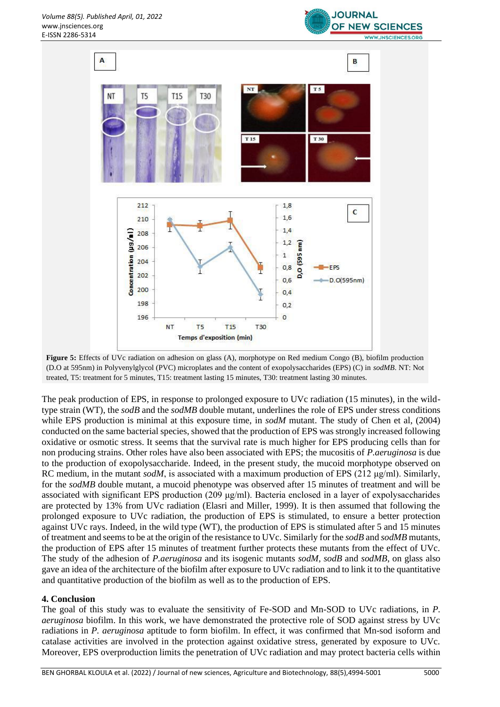



**Figure 5:** Effects of UVc radiation on adhesion on glass (A), morphotype on Red medium Congo (B), biofilm production (D.O at 595nm) in Polyvenylglycol (PVC) microplates and the content of exopolysaccharides (EPS) (C) in *sodMB*. NT: Not treated, T5: treatment for 5 minutes, T15: treatment lasting 15 minutes, T30: treatment lasting 30 minutes.

The peak production of EPS, in response to prolonged exposure to UVc radiation (15 minutes), in the wildtype strain (WT), the *sodB* and the *sodMB* double mutant, underlines the role of EPS under stress conditions while EPS production is minimal at this exposure time, in *sodM* mutant. The study of Chen et al, (2004) conducted on the same bacterial species, showed that the production of EPS was strongly increased following oxidative or osmotic stress. It seems that the survival rate is much higher for EPS producing cells than for non producing strains. Other roles have also been associated with EPS; the mucositis of *P.aeruginosa* is due to the production of exopolysaccharide. Indeed, in the present study, the mucoid morphotype observed on RC medium, in the mutant *sodM*, is associated with a maximum production of EPS (212 μg/ml). Similarly, for the *sodMB* double mutant, a mucoid phenotype was observed after 15 minutes of treatment and will be associated with significant EPS production (209  $\mu$ g/ml). Bacteria enclosed in a layer of expolysaccharides are protected by 13% from UVc radiation (Elasri and Miller, 1999). It is then assumed that following the prolonged exposure to UVc radiation, the production of EPS is stimulated, to ensure a better protection against UVc rays. Indeed, in the wild type (WT), the production of EPS is stimulated after 5 and 15 minutes of treatment and seems to be at the origin of the resistance to UVc. Similarly for the *sodB* and *sodMB* mutants, the production of EPS after 15 minutes of treatment further protects these mutants from the effect of UVc. The study of the adhesion of *P.aeruginosa* and its isogenic mutants *sodM*, *sodB* and *sodMB*, on glass also gave an idea of the architecture of the biofilm after exposure to UVc radiation and to link it to the quantitative and quantitative production of the biofilm as well as to the production of EPS.

# **4. Conclusion**

The goal of this study was to evaluate the sensitivity of Fe-SOD and Mn-SOD to UVc radiations, in *P. aeruginosa* biofilm. In this work, we have demonstrated the protective role of SOD against stress by UVc radiations in *P. aeruginosa* aptitude to form biofilm. In effect, it was confirmed that Mn-sod isoform and catalase activities are involved in the protection against oxidative stress, generated by exposure to UVc. Moreover, EPS overproduction limits the penetration of UVc radiation and may protect bacteria cells within